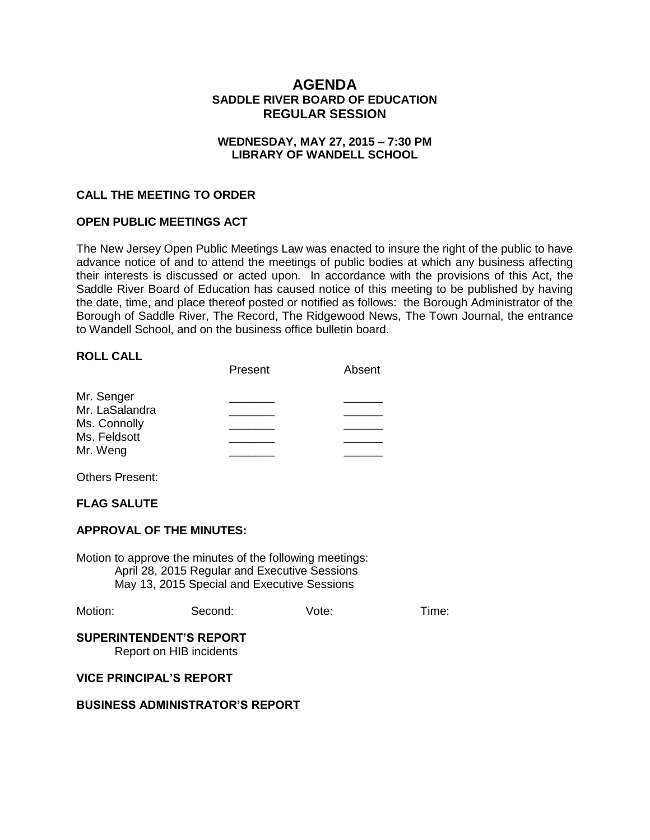# **AGENDA SADDLE RIVER BOARD OF EDUCATION REGULAR SESSION**

# **WEDNESDAY, MAY 27, 2015 – 7:30 PM LIBRARY OF WANDELL SCHOOL**

### **CALL THE MEETING TO ORDER**

# **OPEN PUBLIC MEETINGS ACT**

The New Jersey Open Public Meetings Law was enacted to insure the right of the public to have advance notice of and to attend the meetings of public bodies at which any business affecting their interests is discussed or acted upon. In accordance with the provisions of this Act, the Saddle River Board of Education has caused notice of this meeting to be published by having the date, time, and place thereof posted or notified as follows: the Borough Administrator of the Borough of Saddle River, The Record, The Ridgewood News, The Town Journal, the entrance to Wandell School, and on the business office bulletin board.

# **ROLL CALL**

|                | Present | Absent |
|----------------|---------|--------|
| Mr. Senger     |         |        |
| Mr. LaSalandra |         |        |
| Ms. Connolly   |         |        |
| Ms. Feldsott   |         |        |
| Mr. Weng       |         |        |

Others Present:

### **FLAG SALUTE**

### **APPROVAL OF THE MINUTES:**

Motion to approve the minutes of the following meetings: April 28, 2015 Regular and Executive Sessions May 13, 2015 Special and Executive Sessions

| Motion: | Second: | Vote: | Time: |
|---------|---------|-------|-------|
|---------|---------|-------|-------|

# **SUPERINTENDENT'S REPORT**

Report on HIB incidents

#### **VICE PRINCIPAL'S REPORT**

#### **BUSINESS ADMINISTRATOR'S REPORT**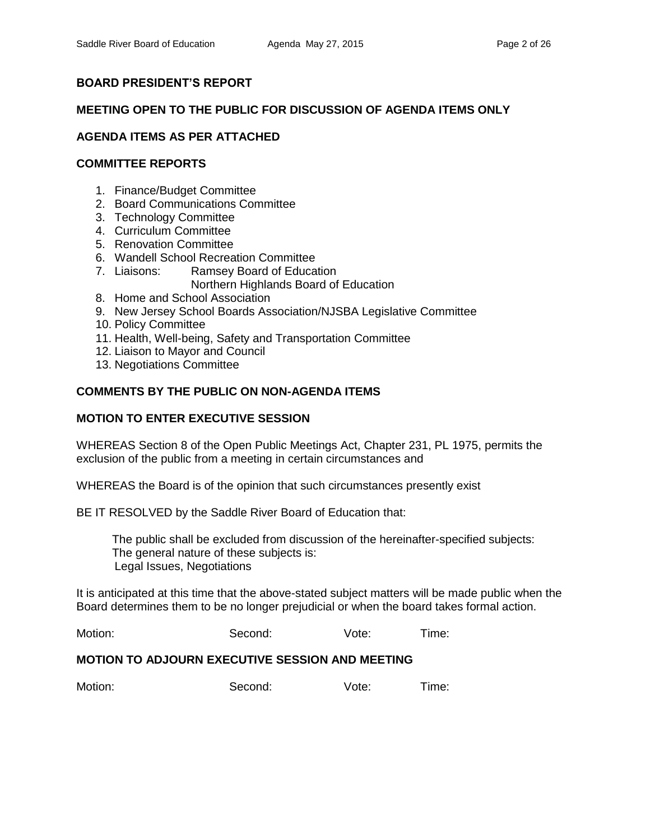# **BOARD PRESIDENT'S REPORT**

# **MEETING OPEN TO THE PUBLIC FOR DISCUSSION OF AGENDA ITEMS ONLY**

# **AGENDA ITEMS AS PER ATTACHED**

# **COMMITTEE REPORTS**

- 1. Finance/Budget Committee
- 2. Board Communications Committee
- 3. Technology Committee
- 4. Curriculum Committee
- 5. Renovation Committee
- 6. Wandell School Recreation Committee
- 7. Liaisons: Ramsey Board of Education Northern Highlands Board of Education
- 8. Home and School Association
- 9. New Jersey School Boards Association/NJSBA Legislative Committee
- 10. Policy Committee
- 11. Health, Well-being, Safety and Transportation Committee
- 12. Liaison to Mayor and Council
- 13. Negotiations Committee

# **COMMENTS BY THE PUBLIC ON NON-AGENDA ITEMS**

# **MOTION TO ENTER EXECUTIVE SESSION**

WHEREAS Section 8 of the Open Public Meetings Act, Chapter 231, PL 1975, permits the exclusion of the public from a meeting in certain circumstances and

WHEREAS the Board is of the opinion that such circumstances presently exist

BE IT RESOLVED by the Saddle River Board of Education that:

 The public shall be excluded from discussion of the hereinafter-specified subjects: The general nature of these subjects is: Legal Issues, Negotiations

It is anticipated at this time that the above-stated subject matters will be made public when the Board determines them to be no longer prejudicial or when the board takes formal action.

| Motion:<br>Vote:<br>Second:<br>l ime: |  |
|---------------------------------------|--|
|---------------------------------------|--|

# **MOTION TO ADJOURN EXECUTIVE SESSION AND MEETING**

| Motion: | Second: | Vote: | Time: |
|---------|---------|-------|-------|
|---------|---------|-------|-------|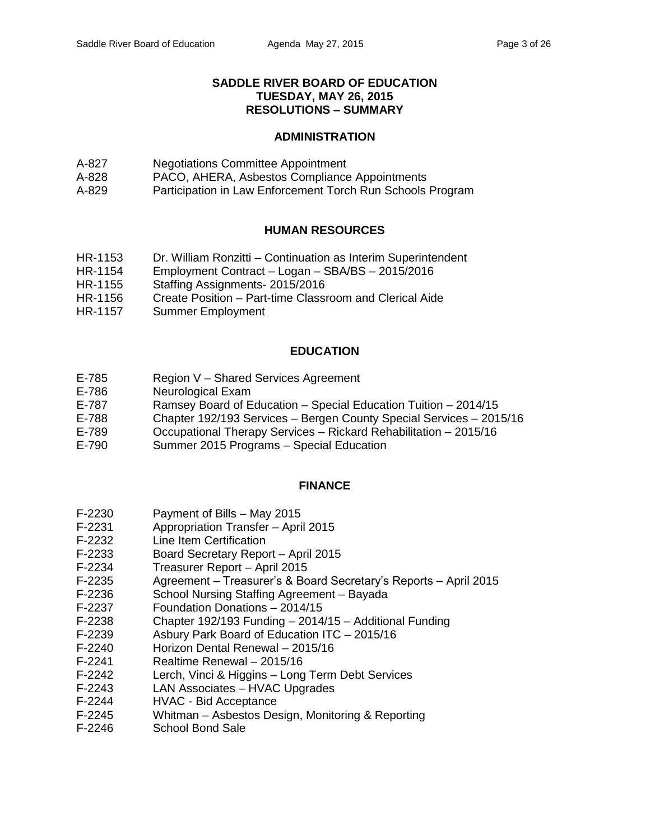# **SADDLE RIVER BOARD OF EDUCATION TUESDAY, MAY 26, 2015 RESOLUTIONS – SUMMARY**

### **ADMINISTRATION**

- A-827 Negotiations Committee Appointment
- A-828 PACO, AHERA, Asbestos Compliance Appointments
- A-829 Participation in Law Enforcement Torch Run Schools Program

# **HUMAN RESOURCES**

- HR-1153 Dr. William Ronzitti Continuation as Interim Superintendent
- HR-1154 Employment Contract Logan SBA/BS 2015/2016
- HR-1155 Staffing Assignments- 2015/2016
- HR-1156 Create Position Part-time Classroom and Clerical Aide
- HR-1157 Summer Employment

# **EDUCATION**

- E-785 Region V Shared Services Agreement
- E-786 Neurological Exam
- E-787 Ramsey Board of Education Special Education Tuition 2014/15
- E-788 Chapter 192/193 Services Bergen County Special Services 2015/16
- E-789 Occupational Therapy Services Rickard Rehabilitation 2015/16
- E-790 Summer 2015 Programs Special Education

# **FINANCE**

- F-2230 Payment of Bills May 2015
- F-2231 Appropriation Transfer April 2015
- F-2232 Line Item Certification
- F-2233 Board Secretary Report April 2015
- F-2234 Treasurer Report April 2015
- F-2235 Agreement Treasurer's & Board Secretary's Reports April 2015
- F-2236 School Nursing Staffing Agreement Bayada
- F-2237 Foundation Donations 2014/15
- F-2238 Chapter 192/193 Funding 2014/15 Additional Funding
- F-2239 Asbury Park Board of Education ITC 2015/16
- F-2240 Horizon Dental Renewal 2015/16
- F-2241 Realtime Renewal 2015/16
- F-2242 Lerch, Vinci & Higgins Long Term Debt Services
- F-2243 LAN Associates HVAC Upgrades
- F-2244 HVAC Bid Acceptance
- F-2245 Whitman Asbestos Design, Monitoring & Reporting
- F-2246 School Bond Sale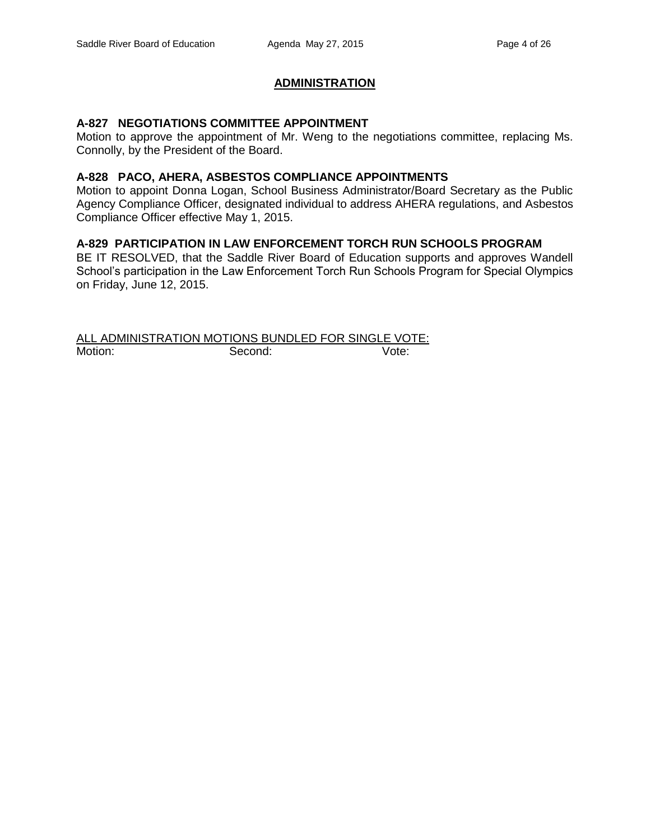# **ADMINISTRATION**

#### **A-827 NEGOTIATIONS COMMITTEE APPOINTMENT**

Motion to approve the appointment of Mr. Weng to the negotiations committee, replacing Ms. Connolly, by the President of the Board.

#### **A-828 PACO, AHERA, ASBESTOS COMPLIANCE APPOINTMENTS**

Motion to appoint Donna Logan, School Business Administrator/Board Secretary as the Public Agency Compliance Officer, designated individual to address AHERA regulations, and Asbestos Compliance Officer effective May 1, 2015.

#### **A-829 PARTICIPATION IN LAW ENFORCEMENT TORCH RUN SCHOOLS PROGRAM**

BE IT RESOLVED, that the Saddle River Board of Education supports and approves Wandell School's participation in the Law Enforcement Torch Run Schools Program for Special Olympics on Friday, June 12, 2015.

#### ALL ADMINISTRATION MOTIONS BUNDLED FOR SINGLE VOTE: Motion: Second: Second: Vote: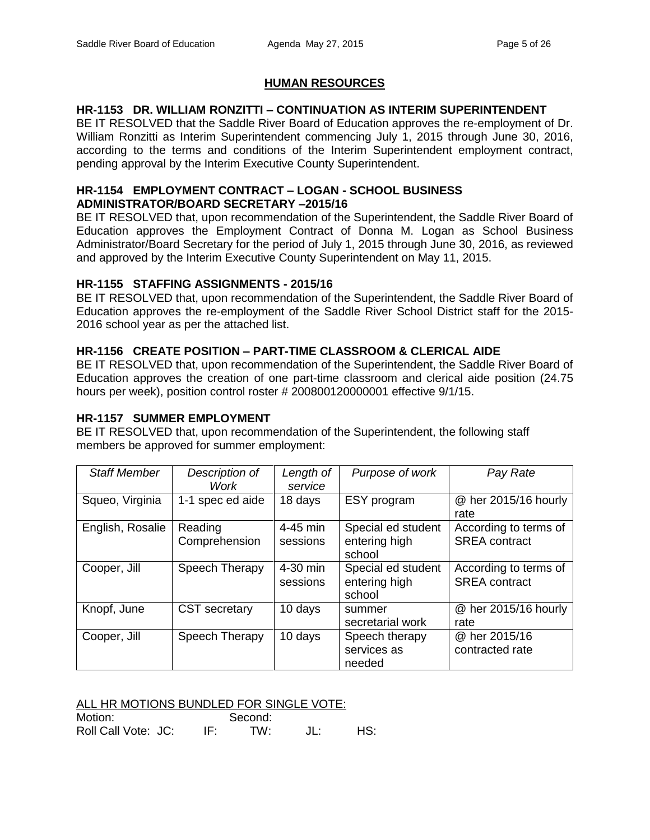# **HUMAN RESOURCES**

# **HR-1153 DR. WILLIAM RONZITTI – CONTINUATION AS INTERIM SUPERINTENDENT**

BE IT RESOLVED that the Saddle River Board of Education approves the re-employment of Dr. William Ronzitti as Interim Superintendent commencing July 1, 2015 through June 30, 2016, according to the terms and conditions of the Interim Superintendent employment contract, pending approval by the Interim Executive County Superintendent.

# **HR-1154 EMPLOYMENT CONTRACT – LOGAN - SCHOOL BUSINESS ADMINISTRATOR/BOARD SECRETARY –2015/16**

BE IT RESOLVED that, upon recommendation of the Superintendent, the Saddle River Board of Education approves the Employment Contract of Donna M. Logan as School Business Administrator/Board Secretary for the period of July 1, 2015 through June 30, 2016, as reviewed and approved by the Interim Executive County Superintendent on May 11, 2015.

# **HR-1155 STAFFING ASSIGNMENTS - 2015/16**

BE IT RESOLVED that, upon recommendation of the Superintendent, the Saddle River Board of Education approves the re-employment of the Saddle River School District staff for the 2015- 2016 school year as per the attached list.

# **HR-1156 CREATE POSITION – PART-TIME CLASSROOM & CLERICAL AIDE**

BE IT RESOLVED that, upon recommendation of the Superintendent, the Saddle River Board of Education approves the creation of one part-time classroom and clerical aide position (24.75 hours per week), position control roster # 200800120000001 effective 9/1/15.

# **HR-1157 SUMMER EMPLOYMENT**

BE IT RESOLVED that, upon recommendation of the Superintendent, the following staff members be approved for summer employment:

| <b>Staff Member</b> | Description of<br>Work   | Length of<br>service | Purpose of work                               | Pay Rate                                      |
|---------------------|--------------------------|----------------------|-----------------------------------------------|-----------------------------------------------|
| Squeo, Virginia     | 1-1 spec ed aide         | 18 days              | ESY program                                   | @ her 2015/16 hourly<br>rate                  |
| English, Rosalie    | Reading<br>Comprehension | 4-45 min<br>sessions | Special ed student<br>entering high<br>school | According to terms of<br><b>SREA</b> contract |
| Cooper, Jill        | Speech Therapy           | 4-30 min<br>sessions | Special ed student<br>entering high<br>school | According to terms of<br><b>SREA</b> contract |
| Knopf, June         | <b>CST</b> secretary     | 10 days              | summer<br>secretarial work                    | @ her 2015/16 hourly<br>rate                  |
| Cooper, Jill        | Speech Therapy           | 10 days              | Speech therapy<br>services as<br>needed       | @ her 2015/16<br>contracted rate              |

ALL HR MOTIONS BUNDLED FOR SINGLE VOTE:

| Motion:             | Second: |     |
|---------------------|---------|-----|
| Roll Call Vote: JC: | TW:     | HS: |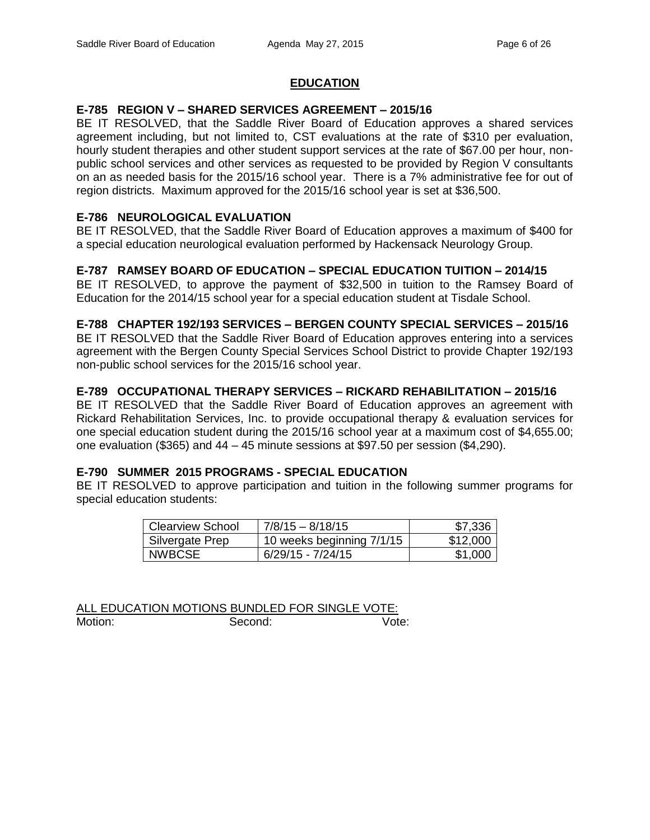# **EDUCATION**

### **E-785 REGION V – SHARED SERVICES AGREEMENT – 2015/16**

BE IT RESOLVED, that the Saddle River Board of Education approves a shared services agreement including, but not limited to, CST evaluations at the rate of \$310 per evaluation, hourly student therapies and other student support services at the rate of \$67.00 per hour, nonpublic school services and other services as requested to be provided by Region V consultants on an as needed basis for the 2015/16 school year. There is a 7% administrative fee for out of region districts. Maximum approved for the 2015/16 school year is set at \$36,500.

# **E-786 NEUROLOGICAL EVALUATION**

BE IT RESOLVED, that the Saddle River Board of Education approves a maximum of \$400 for a special education neurological evaluation performed by Hackensack Neurology Group.

# **E-787 RAMSEY BOARD OF EDUCATION – SPECIAL EDUCATION TUITION – 2014/15**

BE IT RESOLVED, to approve the payment of \$32,500 in tuition to the Ramsey Board of Education for the 2014/15 school year for a special education student at Tisdale School.

#### **E-788 CHAPTER 192/193 SERVICES – BERGEN COUNTY SPECIAL SERVICES – 2015/16**

BE IT RESOLVED that the Saddle River Board of Education approves entering into a services agreement with the Bergen County Special Services School District to provide Chapter 192/193 non-public school services for the 2015/16 school year.

# **E-789 OCCUPATIONAL THERAPY SERVICES – RICKARD REHABILITATION – 2015/16**

BE IT RESOLVED that the Saddle River Board of Education approves an agreement with Rickard Rehabilitation Services, Inc. to provide occupational therapy & evaluation services for one special education student during the 2015/16 school year at a maximum cost of \$4,655.00; one evaluation (\$365) and  $44 - 45$  minute sessions at \$97.50 per session (\$4,290).

# **E-790 SUMMER 2015 PROGRAMS - SPECIAL EDUCATION**

BE IT RESOLVED to approve participation and tuition in the following summer programs for special education students:

| Clearview School | 7/8/15 - 8/18/15          | \$7,336  |
|------------------|---------------------------|----------|
| Silvergate Prep  | 10 weeks beginning 7/1/15 | \$12,000 |
| <b>NWBCSE</b>    | $6/29/15 - 7/24/15$       | \$1,000  |

ALL EDUCATION MOTIONS BUNDLED FOR SINGLE VOTE: Motion: Second: Vote: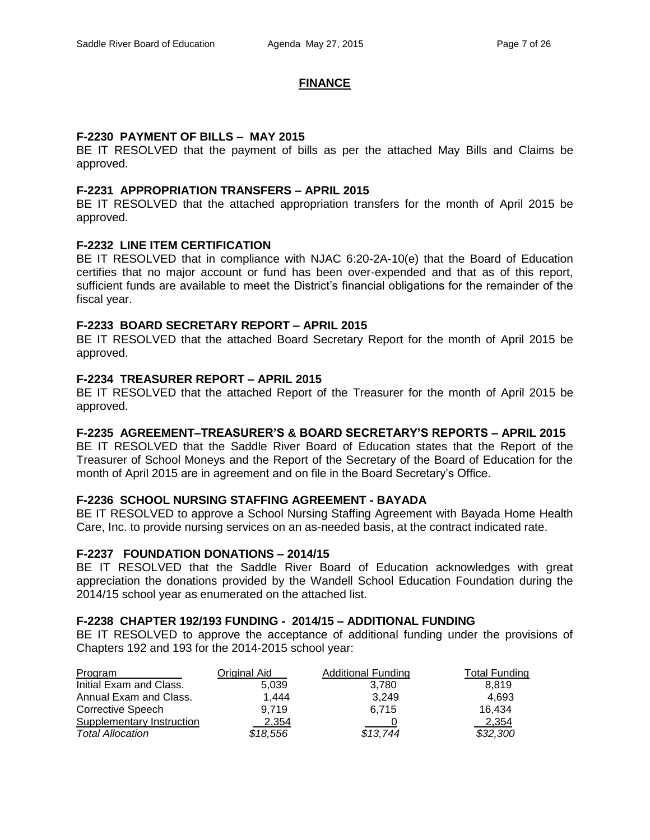#### **FINANCE**

#### **F-2230 PAYMENT OF BILLS – MAY 2015**

BE IT RESOLVED that the payment of bills as per the attached May Bills and Claims be approved.

#### **F-2231 APPROPRIATION TRANSFERS – APRIL 2015**

BE IT RESOLVED that the attached appropriation transfers for the month of April 2015 be approved.

# **F-2232 LINE ITEM CERTIFICATION**

BE IT RESOLVED that in compliance with NJAC 6:20-2A-10(e) that the Board of Education certifies that no major account or fund has been over-expended and that as of this report, sufficient funds are available to meet the District's financial obligations for the remainder of the fiscal year.

#### **F-2233 BOARD SECRETARY REPORT – APRIL 2015**

BE IT RESOLVED that the attached Board Secretary Report for the month of April 2015 be approved.

# **F-2234 TREASURER REPORT – APRIL 2015**

BE IT RESOLVED that the attached Report of the Treasurer for the month of April 2015 be approved.

# **F-2235 AGREEMENT–TREASURER'S & BOARD SECRETARY'S REPORTS – APRIL 2015**

BE IT RESOLVED that the Saddle River Board of Education states that the Report of the Treasurer of School Moneys and the Report of the Secretary of the Board of Education for the month of April 2015 are in agreement and on file in the Board Secretary's Office.

#### **F-2236 SCHOOL NURSING STAFFING AGREEMENT - BAYADA**

BE IT RESOLVED to approve a School Nursing Staffing Agreement with Bayada Home Health Care, Inc. to provide nursing services on an as-needed basis, at the contract indicated rate.

#### **F-2237 FOUNDATION DONATIONS – 2014/15**

BE IT RESOLVED that the Saddle River Board of Education acknowledges with great appreciation the donations provided by the Wandell School Education Foundation during the 2014/15 school year as enumerated on the attached list.

#### **F-2238 CHAPTER 192/193 FUNDING - 2014/15 – ADDITIONAL FUNDING**

BE IT RESOLVED to approve the acceptance of additional funding under the provisions of Chapters 192 and 193 for the 2014-2015 school year:

| Program                          | Original Aid | <b>Additional Funding</b> | Total Funding |
|----------------------------------|--------------|---------------------------|---------------|
| Initial Exam and Class.          | 5.039        | 3.780                     | 8.819         |
| Annual Exam and Class.           | 1.444        | 3.249                     | 4.693         |
| Corrective Speech                | 9.719        | 6.715                     | 16.434        |
| <b>Supplementary Instruction</b> | 2.354        |                           | 2,354         |
| <b>Total Allocation</b>          | \$18,556     | \$13,744                  | \$32,300      |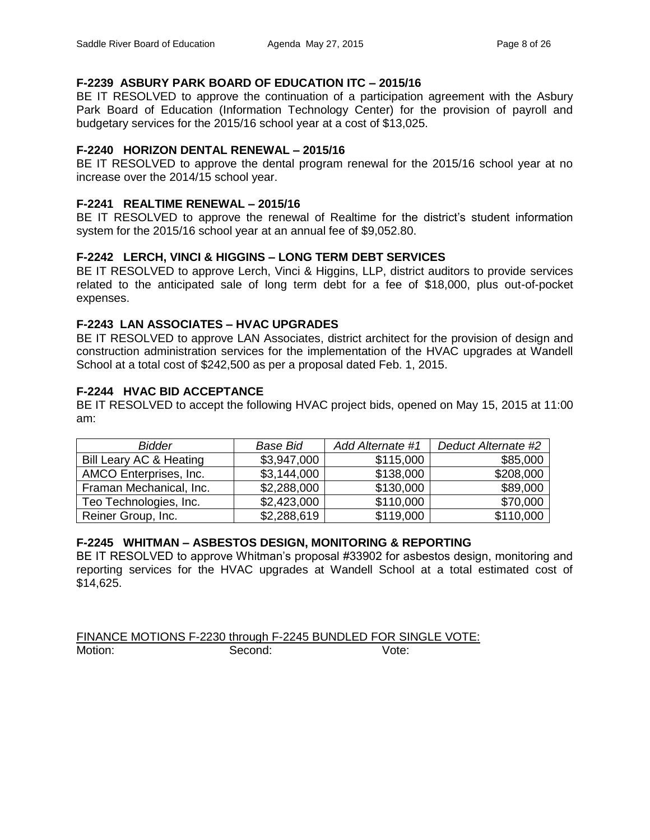# **F-2239 ASBURY PARK BOARD OF EDUCATION ITC – 2015/16**

BE IT RESOLVED to approve the continuation of a participation agreement with the Asbury Park Board of Education (Information Technology Center) for the provision of payroll and budgetary services for the 2015/16 school year at a cost of \$13,025.

# **F-2240 HORIZON DENTAL RENEWAL – 2015/16**

BE IT RESOLVED to approve the dental program renewal for the 2015/16 school year at no increase over the 2014/15 school year.

# **F-2241 REALTIME RENEWAL – 2015/16**

BE IT RESOLVED to approve the renewal of Realtime for the district's student information system for the 2015/16 school year at an annual fee of \$9,052.80.

# **F-2242 LERCH, VINCI & HIGGINS – LONG TERM DEBT SERVICES**

BE IT RESOLVED to approve Lerch, Vinci & Higgins, LLP, district auditors to provide services related to the anticipated sale of long term debt for a fee of \$18,000, plus out-of-pocket expenses.

# **F-2243 LAN ASSOCIATES – HVAC UPGRADES**

BE IT RESOLVED to approve LAN Associates, district architect for the provision of design and construction administration services for the implementation of the HVAC upgrades at Wandell School at a total cost of \$242,500 as per a proposal dated Feb. 1, 2015.

# **F-2244 HVAC BID ACCEPTANCE**

BE IT RESOLVED to accept the following HVAC project bids, opened on May 15, 2015 at 11:00 am:

| <b>Bidder</b>           | <b>Base Bid</b> | Add Alternate #1 | Deduct Alternate #2 |
|-------------------------|-----------------|------------------|---------------------|
| Bill Leary AC & Heating | \$3,947,000     | \$115,000        | \$85,000            |
| AMCO Enterprises, Inc.  | \$3,144,000     | \$138,000        | \$208,000           |
| Framan Mechanical, Inc. | \$2,288,000     | \$130,000        | \$89,000            |
| Teo Technologies, Inc.  | \$2,423,000     | \$110,000        | \$70,000            |
| Reiner Group, Inc.      | \$2,288,619     | \$119,000        | \$110,000           |

# **F-2245 WHITMAN – ASBESTOS DESIGN, MONITORING & REPORTING**

BE IT RESOLVED to approve Whitman's proposal #33902 for asbestos design, monitoring and reporting services for the HVAC upgrades at Wandell School at a total estimated cost of \$14,625.

FINANCE MOTIONS F-2230 through F-2245 BUNDLED FOR SINGLE VOTE: Motion: Second: Vote: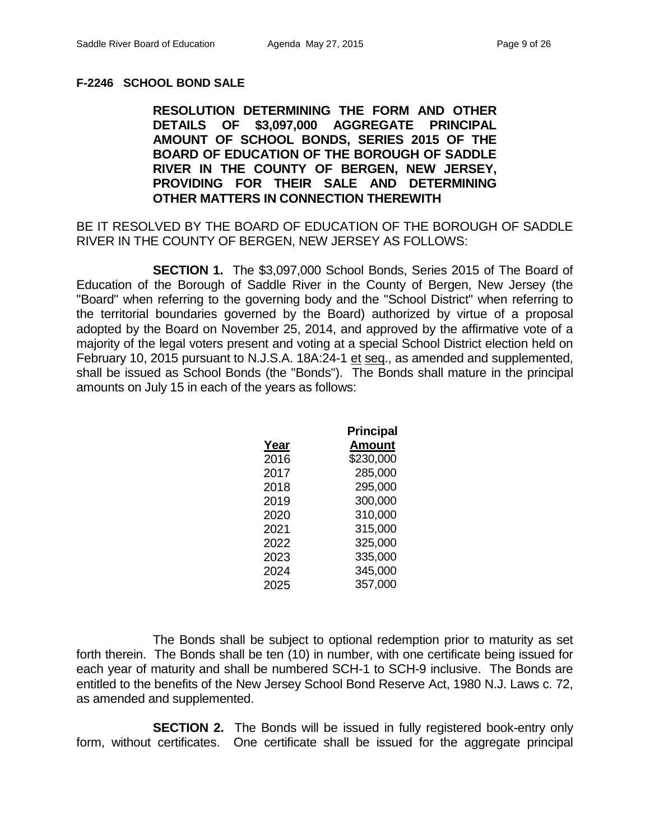# **F-2246 SCHOOL BOND SALE**

**RESOLUTION DETERMINING THE FORM AND OTHER DETAILS OF \$3,097,000 AGGREGATE PRINCIPAL AMOUNT OF SCHOOL BONDS, SERIES 2015 OF THE BOARD OF EDUCATION OF THE BOROUGH OF SADDLE RIVER IN THE COUNTY OF BERGEN, NEW JERSEY, PROVIDING FOR THEIR SALE AND DETERMINING OTHER MATTERS IN CONNECTION THEREWITH**

BE IT RESOLVED BY THE BOARD OF EDUCATION OF THE BOROUGH OF SADDLE RIVER IN THE COUNTY OF BERGEN, NEW JERSEY AS FOLLOWS:

**SECTION 1.** The \$3,097,000 School Bonds, Series 2015 of The Board of Education of the Borough of Saddle River in the County of Bergen, New Jersey (the "Board" when referring to the governing body and the "School District" when referring to the territorial boundaries governed by the Board) authorized by virtue of a proposal adopted by the Board on November 25, 2014, and approved by the affirmative vote of a majority of the legal voters present and voting at a special School District election held on February 10, 2015 pursuant to N.J.S.A. 18A:24-1 et seq., as amended and supplemented, shall be issued as School Bonds (the "Bonds"). The Bonds shall mature in the principal amounts on July 15 in each of the years as follows:

|      | <b>Principal</b> |
|------|------------------|
| Year | <b>Amount</b>    |
| 2016 | \$230,000        |
| 2017 | 285,000          |
| 2018 | 295,000          |
| 2019 | 300,000          |
| 2020 | 310,000          |
| 2021 | 315,000          |
| 2022 | 325,000          |
| 2023 | 335,000          |
| 2024 | 345,000          |
| 2025 | 357,000          |

The Bonds shall be subject to optional redemption prior to maturity as set forth therein. The Bonds shall be ten (10) in number, with one certificate being issued for each year of maturity and shall be numbered SCH-1 to SCH-9 inclusive. The Bonds are entitled to the benefits of the New Jersey School Bond Reserve Act, 1980 N.J. Laws c. 72, as amended and supplemented.

**SECTION 2.** The Bonds will be issued in fully registered book-entry only form, without certificates. One certificate shall be issued for the aggregate principal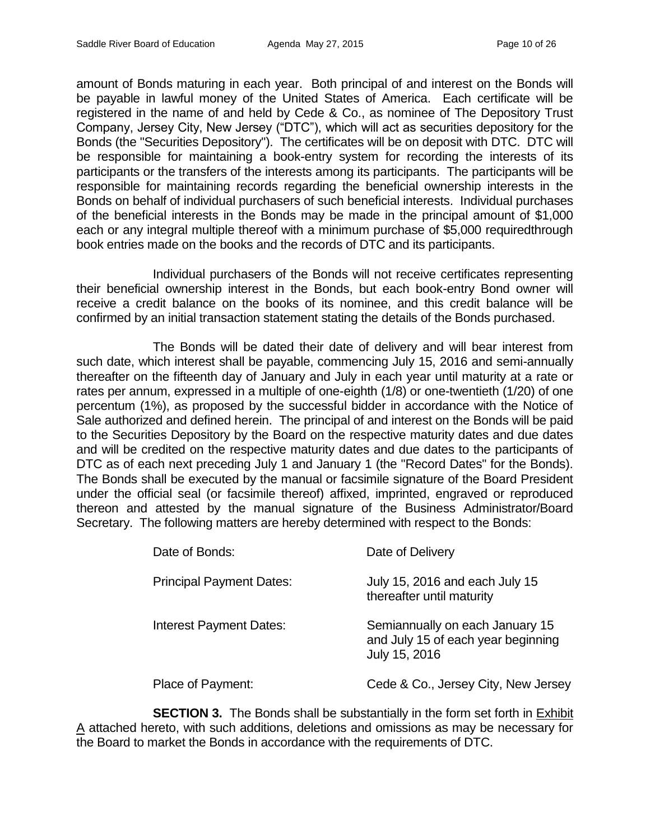amount of Bonds maturing in each year. Both principal of and interest on the Bonds will be payable in lawful money of the United States of America. Each certificate will be registered in the name of and held by Cede & Co., as nominee of The Depository Trust Company, Jersey City, New Jersey ("DTC"), which will act as securities depository for the Bonds (the "Securities Depository"). The certificates will be on deposit with DTC. DTC will be responsible for maintaining a book-entry system for recording the interests of its participants or the transfers of the interests among its participants. The participants will be responsible for maintaining records regarding the beneficial ownership interests in the Bonds on behalf of individual purchasers of such beneficial interests. Individual purchases of the beneficial interests in the Bonds may be made in the principal amount of \$1,000 each or any integral multiple thereof with a minimum purchase of \$5,000 requiredthrough book entries made on the books and the records of DTC and its participants.

Individual purchasers of the Bonds will not receive certificates representing their beneficial ownership interest in the Bonds, but each book-entry Bond owner will receive a credit balance on the books of its nominee, and this credit balance will be confirmed by an initial transaction statement stating the details of the Bonds purchased.

The Bonds will be dated their date of delivery and will bear interest from such date, which interest shall be payable, commencing July 15, 2016 and semi-annually thereafter on the fifteenth day of January and July in each year until maturity at a rate or rates per annum, expressed in a multiple of one-eighth (1/8) or one-twentieth (1/20) of one percentum (1%), as proposed by the successful bidder in accordance with the Notice of Sale authorized and defined herein. The principal of and interest on the Bonds will be paid to the Securities Depository by the Board on the respective maturity dates and due dates and will be credited on the respective maturity dates and due dates to the participants of DTC as of each next preceding July 1 and January 1 (the "Record Dates" for the Bonds). The Bonds shall be executed by the manual or facsimile signature of the Board President under the official seal (or facsimile thereof) affixed, imprinted, engraved or reproduced thereon and attested by the manual signature of the Business Administrator/Board Secretary. The following matters are hereby determined with respect to the Bonds:

| Date of Bonds:                  | Date of Delivery                                                                       |
|---------------------------------|----------------------------------------------------------------------------------------|
| <b>Principal Payment Dates:</b> | July 15, 2016 and each July 15<br>thereafter until maturity                            |
| Interest Payment Dates:         | Semiannually on each January 15<br>and July 15 of each year beginning<br>July 15, 2016 |
| Place of Payment:               | Cede & Co., Jersey City, New Jersey                                                    |

**SECTION 3.** The Bonds shall be substantially in the form set forth in Exhibit A attached hereto, with such additions, deletions and omissions as may be necessary for the Board to market the Bonds in accordance with the requirements of DTC.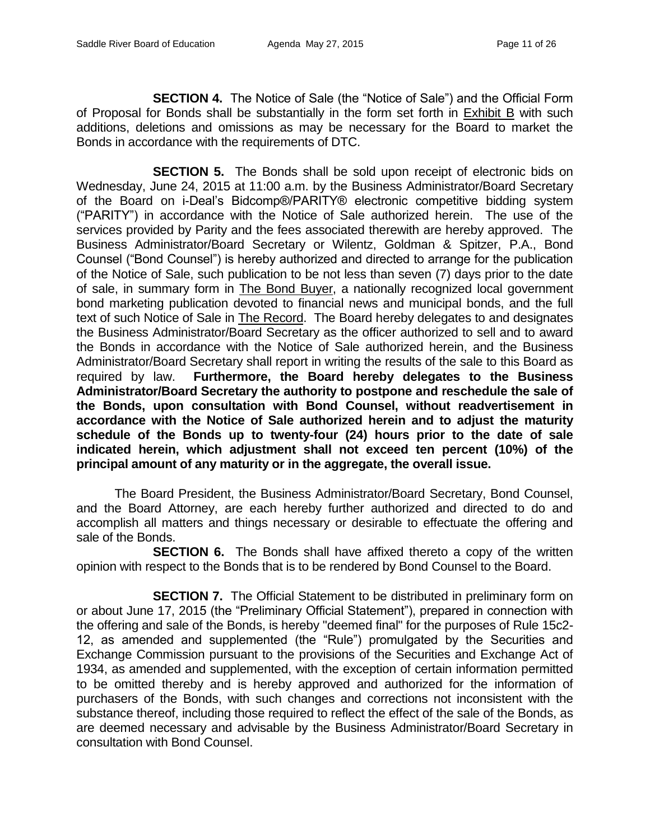**SECTION 4.** The Notice of Sale (the "Notice of Sale") and the Official Form of Proposal for Bonds shall be substantially in the form set forth in Exhibit B with such additions, deletions and omissions as may be necessary for the Board to market the Bonds in accordance with the requirements of DTC.

**SECTION 5.** The Bonds shall be sold upon receipt of electronic bids on Wednesday, June 24, 2015 at 11:00 a.m. by the Business Administrator/Board Secretary of the Board on i-Deal's Bidcomp®/PARITY® electronic competitive bidding system ("PARITY") in accordance with the Notice of Sale authorized herein. The use of the services provided by Parity and the fees associated therewith are hereby approved. The Business Administrator/Board Secretary or Wilentz, Goldman & Spitzer, P.A., Bond Counsel ("Bond Counsel") is hereby authorized and directed to arrange for the publication of the Notice of Sale, such publication to be not less than seven (7) days prior to the date of sale, in summary form in The Bond Buyer, a nationally recognized local government bond marketing publication devoted to financial news and municipal bonds, and the full text of such Notice of Sale in The Record. The Board hereby delegates to and designates the Business Administrator/Board Secretary as the officer authorized to sell and to award the Bonds in accordance with the Notice of Sale authorized herein, and the Business Administrator/Board Secretary shall report in writing the results of the sale to this Board as required by law. **Furthermore, the Board hereby delegates to the Business Administrator/Board Secretary the authority to postpone and reschedule the sale of the Bonds, upon consultation with Bond Counsel, without readvertisement in accordance with the Notice of Sale authorized herein and to adjust the maturity schedule of the Bonds up to twenty-four (24) hours prior to the date of sale indicated herein, which adjustment shall not exceed ten percent (10%) of the principal amount of any maturity or in the aggregate, the overall issue.**

The Board President, the Business Administrator/Board Secretary, Bond Counsel, and the Board Attorney, are each hereby further authorized and directed to do and accomplish all matters and things necessary or desirable to effectuate the offering and sale of the Bonds.

**SECTION 6.** The Bonds shall have affixed thereto a copy of the written opinion with respect to the Bonds that is to be rendered by Bond Counsel to the Board.

**SECTION 7.** The Official Statement to be distributed in preliminary form on or about June 17, 2015 (the "Preliminary Official Statement"), prepared in connection with the offering and sale of the Bonds, is hereby "deemed final" for the purposes of Rule 15c2- 12, as amended and supplemented (the "Rule") promulgated by the Securities and Exchange Commission pursuant to the provisions of the Securities and Exchange Act of 1934, as amended and supplemented, with the exception of certain information permitted to be omitted thereby and is hereby approved and authorized for the information of purchasers of the Bonds, with such changes and corrections not inconsistent with the substance thereof, including those required to reflect the effect of the sale of the Bonds, as are deemed necessary and advisable by the Business Administrator/Board Secretary in consultation with Bond Counsel.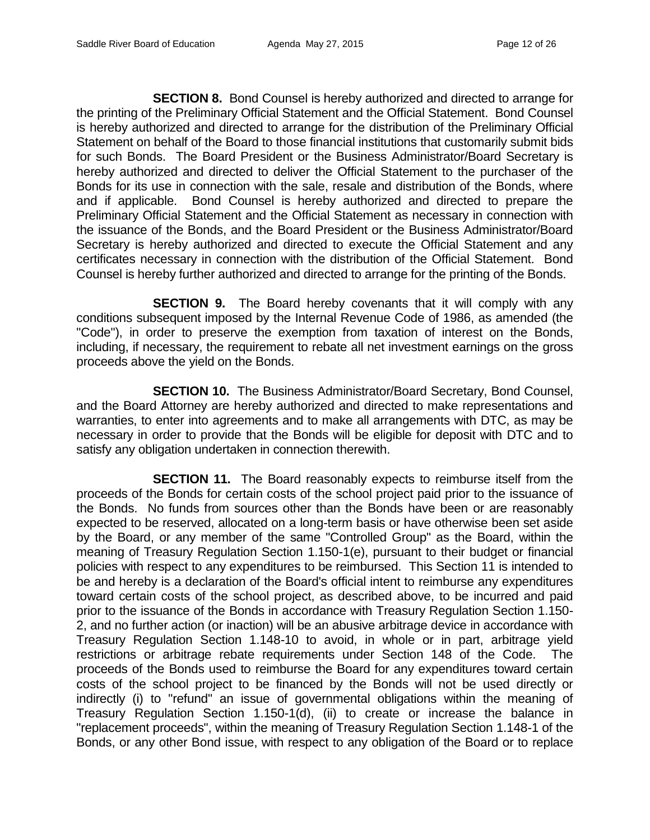**SECTION 8.** Bond Counsel is hereby authorized and directed to arrange for the printing of the Preliminary Official Statement and the Official Statement. Bond Counsel is hereby authorized and directed to arrange for the distribution of the Preliminary Official Statement on behalf of the Board to those financial institutions that customarily submit bids for such Bonds. The Board President or the Business Administrator/Board Secretary is hereby authorized and directed to deliver the Official Statement to the purchaser of the Bonds for its use in connection with the sale, resale and distribution of the Bonds, where and if applicable. Bond Counsel is hereby authorized and directed to prepare the Preliminary Official Statement and the Official Statement as necessary in connection with the issuance of the Bonds, and the Board President or the Business Administrator/Board Secretary is hereby authorized and directed to execute the Official Statement and any certificates necessary in connection with the distribution of the Official Statement. Bond Counsel is hereby further authorized and directed to arrange for the printing of the Bonds.

**SECTION 9.** The Board hereby covenants that it will comply with any conditions subsequent imposed by the Internal Revenue Code of 1986, as amended (the "Code"), in order to preserve the exemption from taxation of interest on the Bonds, including, if necessary, the requirement to rebate all net investment earnings on the gross proceeds above the yield on the Bonds.

**SECTION 10.** The Business Administrator/Board Secretary, Bond Counsel, and the Board Attorney are hereby authorized and directed to make representations and warranties, to enter into agreements and to make all arrangements with DTC, as may be necessary in order to provide that the Bonds will be eligible for deposit with DTC and to satisfy any obligation undertaken in connection therewith.

**SECTION 11.** The Board reasonably expects to reimburse itself from the proceeds of the Bonds for certain costs of the school project paid prior to the issuance of the Bonds. No funds from sources other than the Bonds have been or are reasonably expected to be reserved, allocated on a long-term basis or have otherwise been set aside by the Board, or any member of the same "Controlled Group" as the Board, within the meaning of Treasury Regulation Section 1.150-1(e), pursuant to their budget or financial policies with respect to any expenditures to be reimbursed. This Section 11 is intended to be and hereby is a declaration of the Board's official intent to reimburse any expenditures toward certain costs of the school project, as described above, to be incurred and paid prior to the issuance of the Bonds in accordance with Treasury Regulation Section 1.150- 2, and no further action (or inaction) will be an abusive arbitrage device in accordance with Treasury Regulation Section 1.148-10 to avoid, in whole or in part, arbitrage yield restrictions or arbitrage rebate requirements under Section 148 of the Code. The proceeds of the Bonds used to reimburse the Board for any expenditures toward certain costs of the school project to be financed by the Bonds will not be used directly or indirectly (i) to "refund" an issue of governmental obligations within the meaning of Treasury Regulation Section 1.150-1(d), (ii) to create or increase the balance in "replacement proceeds", within the meaning of Treasury Regulation Section 1.148-1 of the Bonds, or any other Bond issue, with respect to any obligation of the Board or to replace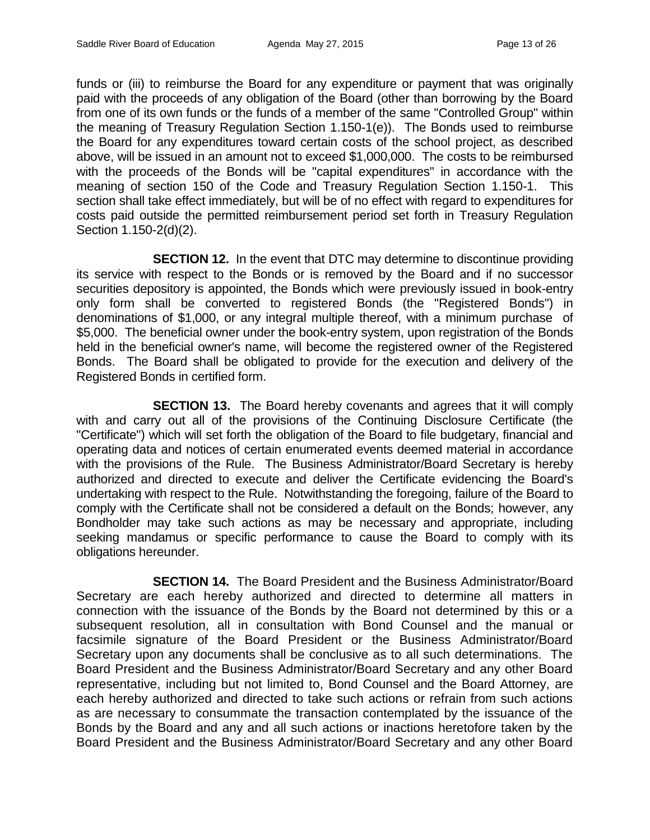funds or (iii) to reimburse the Board for any expenditure or payment that was originally paid with the proceeds of any obligation of the Board (other than borrowing by the Board from one of its own funds or the funds of a member of the same "Controlled Group" within the meaning of Treasury Regulation Section 1.150-1(e)). The Bonds used to reimburse the Board for any expenditures toward certain costs of the school project, as described above, will be issued in an amount not to exceed \$1,000,000. The costs to be reimbursed with the proceeds of the Bonds will be "capital expenditures" in accordance with the meaning of section 150 of the Code and Treasury Regulation Section 1.150-1. This section shall take effect immediately, but will be of no effect with regard to expenditures for costs paid outside the permitted reimbursement period set forth in Treasury Regulation Section 1.150-2(d)(2).

**SECTION 12.** In the event that DTC may determine to discontinue providing its service with respect to the Bonds or is removed by the Board and if no successor securities depository is appointed, the Bonds which were previously issued in book-entry only form shall be converted to registered Bonds (the "Registered Bonds") in denominations of \$1,000, or any integral multiple thereof, with a minimum purchase of \$5,000. The beneficial owner under the book-entry system, upon registration of the Bonds held in the beneficial owner's name, will become the registered owner of the Registered Bonds. The Board shall be obligated to provide for the execution and delivery of the Registered Bonds in certified form.

**SECTION 13.** The Board hereby covenants and agrees that it will comply with and carry out all of the provisions of the Continuing Disclosure Certificate (the "Certificate") which will set forth the obligation of the Board to file budgetary, financial and operating data and notices of certain enumerated events deemed material in accordance with the provisions of the Rule. The Business Administrator/Board Secretary is hereby authorized and directed to execute and deliver the Certificate evidencing the Board's undertaking with respect to the Rule. Notwithstanding the foregoing, failure of the Board to comply with the Certificate shall not be considered a default on the Bonds; however, any Bondholder may take such actions as may be necessary and appropriate, including seeking mandamus or specific performance to cause the Board to comply with its obligations hereunder.

**SECTION 14.** The Board President and the Business Administrator/Board Secretary are each hereby authorized and directed to determine all matters in connection with the issuance of the Bonds by the Board not determined by this or a subsequent resolution, all in consultation with Bond Counsel and the manual or facsimile signature of the Board President or the Business Administrator/Board Secretary upon any documents shall be conclusive as to all such determinations. The Board President and the Business Administrator/Board Secretary and any other Board representative, including but not limited to, Bond Counsel and the Board Attorney, are each hereby authorized and directed to take such actions or refrain from such actions as are necessary to consummate the transaction contemplated by the issuance of the Bonds by the Board and any and all such actions or inactions heretofore taken by the Board President and the Business Administrator/Board Secretary and any other Board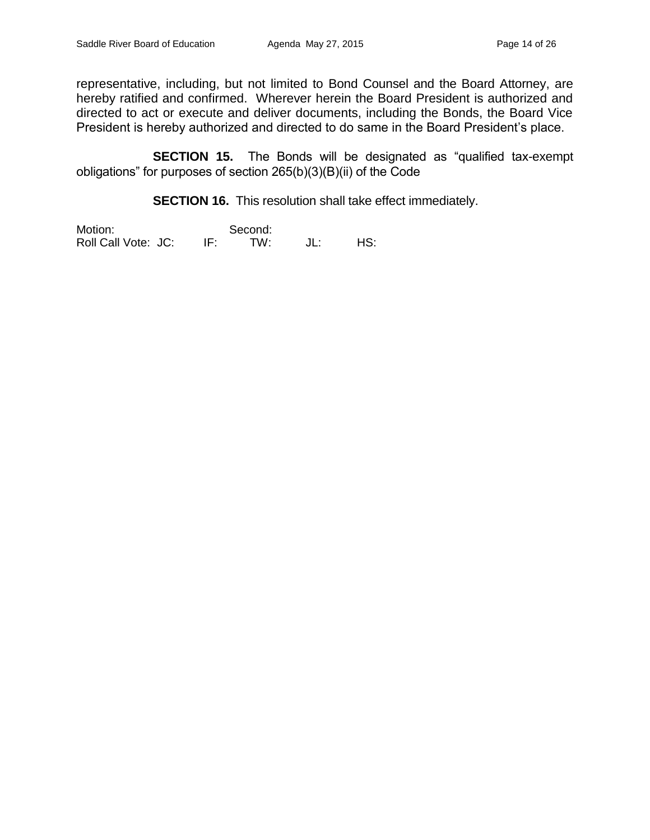representative, including, but not limited to Bond Counsel and the Board Attorney, are hereby ratified and confirmed. Wherever herein the Board President is authorized and directed to act or execute and deliver documents, including the Bonds, the Board Vice President is hereby authorized and directed to do same in the Board President's place.

**SECTION 15.** The Bonds will be designated as "qualified tax-exempt obligations" for purposes of section 265(b)(3)(B)(ii) of the Code

**SECTION 16.** This resolution shall take effect immediately.

Motion: Second:<br>Roll Call Vote: JC: IF: TW: Roll Call Vote: JC: IF: TW: JL: HS: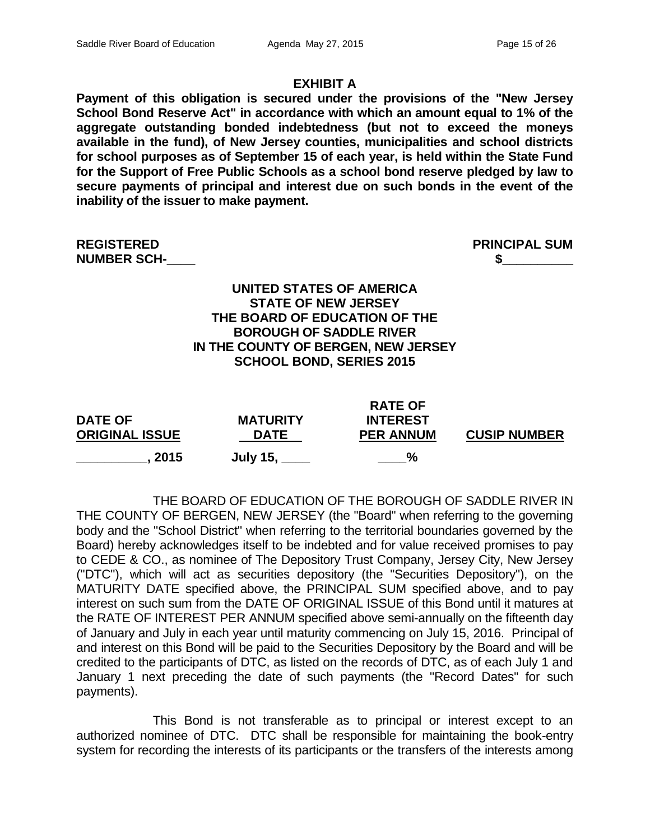### **EXHIBIT A**

**Payment of this obligation is secured under the provisions of the "New Jersey School Bond Reserve Act" in accordance with which an amount equal to 1% of the aggregate outstanding bonded indebtedness (but not to exceed the moneys available in the fund), of New Jersey counties, municipalities and school districts for school purposes as of September 15 of each year, is held within the State Fund for the Support of Free Public Schools as a school bond reserve pledged by law to secure payments of principal and interest due on such bonds in the event of the inability of the issuer to make payment.**

**REGISTERED PRINCIPAL SUM NUMBER SCH-\_\_\_\_ \$\_\_\_\_\_\_\_\_\_\_**

**UNITED STATES OF AMERICA STATE OF NEW JERSEY THE BOARD OF EDUCATION OF THE BOROUGH OF SADDLE RIVER IN THE COUNTY OF BERGEN, NEW JERSEY SCHOOL BOND, SERIES 2015**

| <b>DATE OF</b><br><b>ORIGINAL ISSUE</b> | <b>MATURITY</b><br><b>DATE</b> | <b>KAIE UF</b><br><b>INTEREST</b><br><b>PER ANNUM</b> | <b>CUSIP NUMBER</b> |
|-----------------------------------------|--------------------------------|-------------------------------------------------------|---------------------|
| . 2015                                  | <b>July 15,</b>                | $\frac{6}{2}$                                         |                     |

**RATE OF** 

THE BOARD OF EDUCATION OF THE BOROUGH OF SADDLE RIVER IN THE COUNTY OF BERGEN, NEW JERSEY (the "Board" when referring to the governing body and the "School District" when referring to the territorial boundaries governed by the Board) hereby acknowledges itself to be indebted and for value received promises to pay to CEDE & CO., as nominee of The Depository Trust Company, Jersey City, New Jersey ("DTC"), which will act as securities depository (the "Securities Depository"), on the MATURITY DATE specified above, the PRINCIPAL SUM specified above, and to pay interest on such sum from the DATE OF ORIGINAL ISSUE of this Bond until it matures at the RATE OF INTEREST PER ANNUM specified above semi-annually on the fifteenth day of January and July in each year until maturity commencing on July 15, 2016. Principal of and interest on this Bond will be paid to the Securities Depository by the Board and will be credited to the participants of DTC, as listed on the records of DTC, as of each July 1 and January 1 next preceding the date of such payments (the "Record Dates" for such payments).

This Bond is not transferable as to principal or interest except to an authorized nominee of DTC. DTC shall be responsible for maintaining the book-entry system for recording the interests of its participants or the transfers of the interests among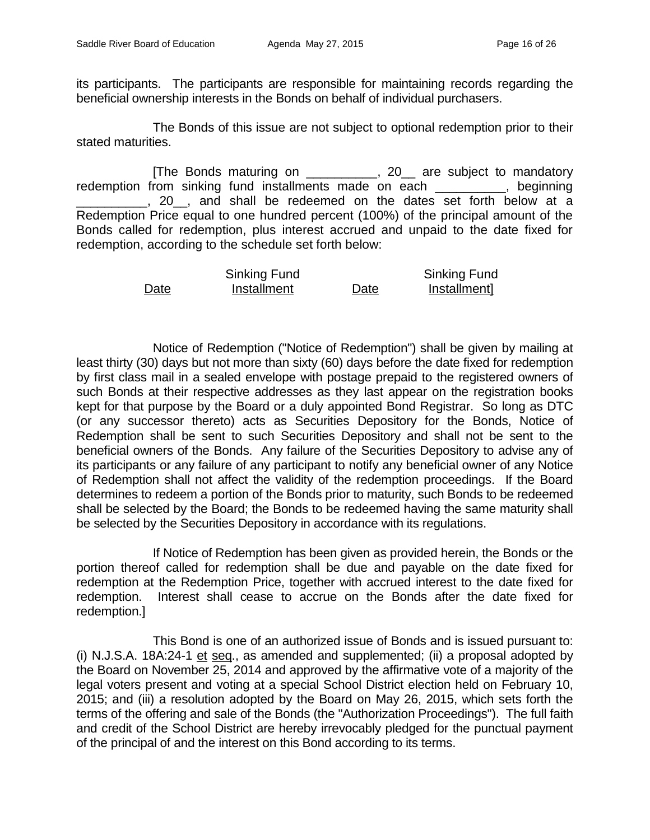its participants. The participants are responsible for maintaining records regarding the beneficial ownership interests in the Bonds on behalf of individual purchasers.

The Bonds of this issue are not subject to optional redemption prior to their stated maturities.

[The Bonds maturing on \_\_\_\_\_\_\_\_\_\_, 20\_\_ are subject to mandatory redemption from sinking fund installments made on each \_\_\_\_\_\_\_\_\_, beginning \_\_\_\_\_\_\_\_\_\_, 20\_\_, and shall be redeemed on the dates set forth below at a Redemption Price equal to one hundred percent (100%) of the principal amount of the Bonds called for redemption, plus interest accrued and unpaid to the date fixed for redemption, according to the schedule set forth below:

|      | Sinking Fund |      | Sinking Fund |
|------|--------------|------|--------------|
| Date | Installment  | Date | Installment] |

Notice of Redemption ("Notice of Redemption") shall be given by mailing at least thirty (30) days but not more than sixty (60) days before the date fixed for redemption by first class mail in a sealed envelope with postage prepaid to the registered owners of such Bonds at their respective addresses as they last appear on the registration books kept for that purpose by the Board or a duly appointed Bond Registrar. So long as DTC (or any successor thereto) acts as Securities Depository for the Bonds, Notice of Redemption shall be sent to such Securities Depository and shall not be sent to the beneficial owners of the Bonds. Any failure of the Securities Depository to advise any of its participants or any failure of any participant to notify any beneficial owner of any Notice of Redemption shall not affect the validity of the redemption proceedings. If the Board determines to redeem a portion of the Bonds prior to maturity, such Bonds to be redeemed shall be selected by the Board; the Bonds to be redeemed having the same maturity shall be selected by the Securities Depository in accordance with its regulations.

If Notice of Redemption has been given as provided herein, the Bonds or the portion thereof called for redemption shall be due and payable on the date fixed for redemption at the Redemption Price, together with accrued interest to the date fixed for redemption. Interest shall cease to accrue on the Bonds after the date fixed for redemption.]

This Bond is one of an authorized issue of Bonds and is issued pursuant to: (i) N.J.S.A. 18A:24-1 et seq., as amended and supplemented; (ii) a proposal adopted by the Board on November 25, 2014 and approved by the affirmative vote of a majority of the legal voters present and voting at a special School District election held on February 10, 2015; and (iii) a resolution adopted by the Board on May 26, 2015, which sets forth the terms of the offering and sale of the Bonds (the "Authorization Proceedings"). The full faith and credit of the School District are hereby irrevocably pledged for the punctual payment of the principal of and the interest on this Bond according to its terms.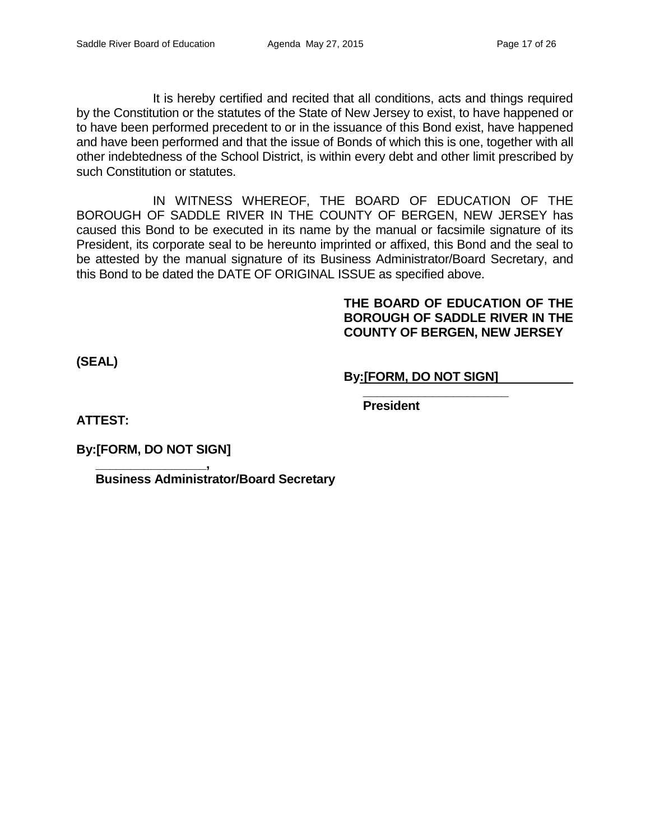It is hereby certified and recited that all conditions, acts and things required by the Constitution or the statutes of the State of New Jersey to exist, to have happened or to have been performed precedent to or in the issuance of this Bond exist, have happened and have been performed and that the issue of Bonds of which this is one, together with all other indebtedness of the School District, is within every debt and other limit prescribed by such Constitution or statutes.

IN WITNESS WHEREOF, THE BOARD OF EDUCATION OF THE BOROUGH OF SADDLE RIVER IN THE COUNTY OF BERGEN, NEW JERSEY has caused this Bond to be executed in its name by the manual or facsimile signature of its President, its corporate seal to be hereunto imprinted or affixed, this Bond and the seal to be attested by the manual signature of its Business Administrator/Board Secretary, and this Bond to be dated the DATE OF ORIGINAL ISSUE as specified above.

# **THE BOARD OF EDUCATION OF THE BOROUGH OF SADDLE RIVER IN THE COUNTY OF BERGEN, NEW JERSEY**

**(SEAL)**

# **By:[FORM, DO NOT SIGN]**

**\_\_\_\_\_\_\_\_\_\_\_\_\_\_\_\_\_\_\_\_\_**

**President**

**ATTEST:**

**By:[FORM, DO NOT SIGN]**

**\_\_\_\_\_\_\_\_\_\_\_\_\_\_\_\_, Business Administrator/Board Secretary**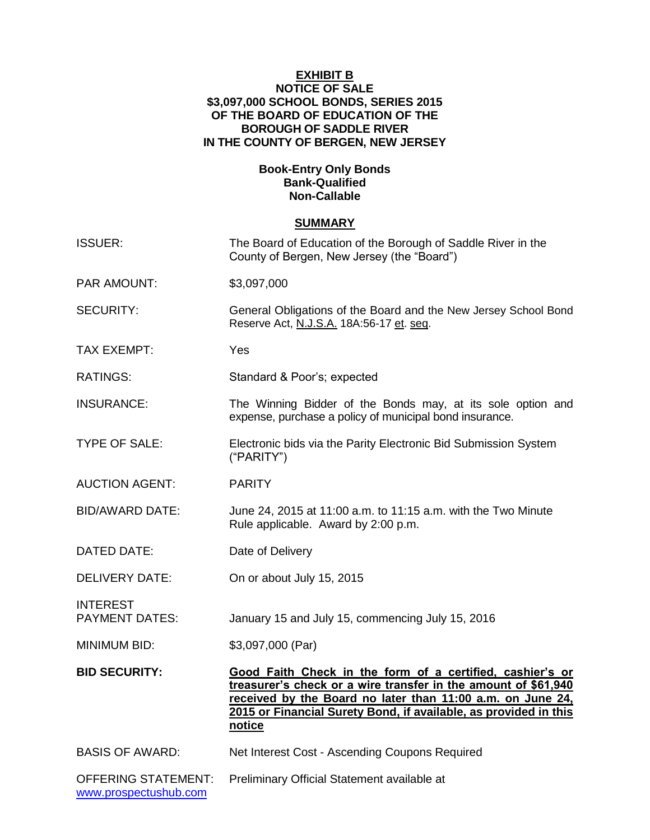### **EXHIBIT B NOTICE OF SALE \$3,097,000 SCHOOL BONDS, SERIES 2015 OF THE BOARD OF EDUCATION OF THE BOROUGH OF SADDLE RIVER IN THE COUNTY OF BERGEN, NEW JERSEY**

# **Book-Entry Only Bonds Bank-Qualified Non-Callable**

# **SUMMARY**

| <b>ISSUER:</b>                                      | The Board of Education of the Borough of Saddle River in the<br>County of Bergen, New Jersey (the "Board")                                                                                                                                                              |
|-----------------------------------------------------|-------------------------------------------------------------------------------------------------------------------------------------------------------------------------------------------------------------------------------------------------------------------------|
| <b>PAR AMOUNT:</b>                                  | \$3,097,000                                                                                                                                                                                                                                                             |
| <b>SECURITY:</b>                                    | General Obligations of the Board and the New Jersey School Bond<br>Reserve Act, N.J.S.A. 18A:56-17 et. seq.                                                                                                                                                             |
| <b>TAX EXEMPT:</b>                                  | Yes                                                                                                                                                                                                                                                                     |
| <b>RATINGS:</b>                                     | Standard & Poor's; expected                                                                                                                                                                                                                                             |
| <b>INSURANCE:</b>                                   | The Winning Bidder of the Bonds may, at its sole option and<br>expense, purchase a policy of municipal bond insurance.                                                                                                                                                  |
| <b>TYPE OF SALE:</b>                                | Electronic bids via the Parity Electronic Bid Submission System<br>("PARITY")                                                                                                                                                                                           |
| <b>AUCTION AGENT:</b>                               | <b>PARITY</b>                                                                                                                                                                                                                                                           |
| <b>BID/AWARD DATE:</b>                              | June 24, 2015 at 11:00 a.m. to 11:15 a.m. with the Two Minute<br>Rule applicable. Award by 2:00 p.m.                                                                                                                                                                    |
| DATED DATE:                                         | Date of Delivery                                                                                                                                                                                                                                                        |
| <b>DELIVERY DATE:</b>                               | On or about July 15, 2015                                                                                                                                                                                                                                               |
| <b>INTEREST</b><br><b>PAYMENT DATES:</b>            | January 15 and July 15, commencing July 15, 2016                                                                                                                                                                                                                        |
| <b>MINIMUM BID:</b>                                 | \$3,097,000 (Par)                                                                                                                                                                                                                                                       |
| <b>BID SECURITY:</b>                                | Good Faith Check in the form of a certified, cashier's or<br>treasurer's check or a wire transfer in the amount of \$61,940<br>received by the Board no later than 11:00 a.m. on June 24,<br>2015 or Financial Surety Bond, if available, as provided in this<br>notice |
| <b>BASIS OF AWARD:</b>                              | Net Interest Cost - Ascending Coupons Required                                                                                                                                                                                                                          |
| <b>OFFERING STATEMENT:</b><br>www.prospectushub.com | Preliminary Official Statement available at                                                                                                                                                                                                                             |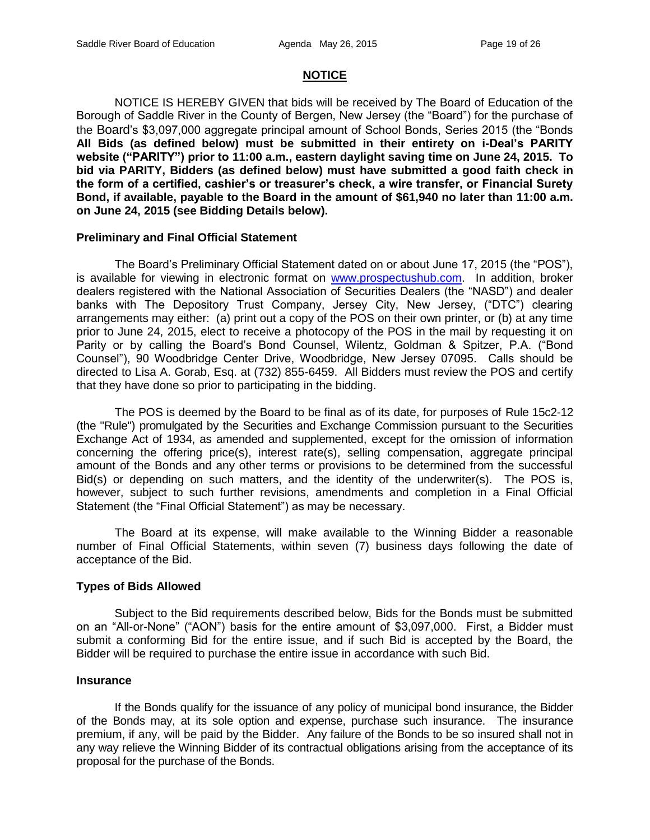# **NOTICE**

NOTICE IS HEREBY GIVEN that bids will be received by The Board of Education of the Borough of Saddle River in the County of Bergen, New Jersey (the "Board") for the purchase of the Board's \$3,097,000 aggregate principal amount of School Bonds, Series 2015 (the "Bonds **All Bids (as defined below) must be submitted in their entirety on i-Deal's PARITY website ("PARITY") prior to 11:00 a.m., eastern daylight saving time on June 24, 2015. To bid via PARITY, Bidders (as defined below) must have submitted a good faith check in the form of a certified, cashier's or treasurer's check, a wire transfer, or Financial Surety Bond, if available, payable to the Board in the amount of \$61,940 no later than 11:00 a.m. on June 24, 2015 (see Bidding Details below).**

#### **Preliminary and Final Official Statement**

The Board's Preliminary Official Statement dated on or about June 17, 2015 (the "POS"), is available for viewing in electronic format on [www.prospectushub.com.](http://www.prospectushub.com/) In addition, broker dealers registered with the National Association of Securities Dealers (the "NASD") and dealer banks with The Depository Trust Company, Jersey City, New Jersey, ("DTC") clearing arrangements may either: (a) print out a copy of the POS on their own printer, or (b) at any time prior to June 24, 2015, elect to receive a photocopy of the POS in the mail by requesting it on Parity or by calling the Board's Bond Counsel, Wilentz, Goldman & Spitzer, P.A. ("Bond Counsel"), 90 Woodbridge Center Drive, Woodbridge, New Jersey 07095. Calls should be directed to Lisa A. Gorab, Esq. at (732) 855-6459. All Bidders must review the POS and certify that they have done so prior to participating in the bidding.

The POS is deemed by the Board to be final as of its date, for purposes of Rule 15c2-12 (the "Rule") promulgated by the Securities and Exchange Commission pursuant to the Securities Exchange Act of 1934, as amended and supplemented, except for the omission of information concerning the offering price(s), interest rate(s), selling compensation, aggregate principal amount of the Bonds and any other terms or provisions to be determined from the successful Bid(s) or depending on such matters, and the identity of the underwriter(s). The POS is, however, subject to such further revisions, amendments and completion in a Final Official Statement (the "Final Official Statement") as may be necessary.

The Board at its expense, will make available to the Winning Bidder a reasonable number of Final Official Statements, within seven (7) business days following the date of acceptance of the Bid.

#### **Types of Bids Allowed**

Subject to the Bid requirements described below, Bids for the Bonds must be submitted on an "All-or-None" ("AON") basis for the entire amount of \$3,097,000. First, a Bidder must submit a conforming Bid for the entire issue, and if such Bid is accepted by the Board, the Bidder will be required to purchase the entire issue in accordance with such Bid.

#### **Insurance**

If the Bonds qualify for the issuance of any policy of municipal bond insurance, the Bidder of the Bonds may, at its sole option and expense, purchase such insurance. The insurance premium, if any, will be paid by the Bidder. Any failure of the Bonds to be so insured shall not in any way relieve the Winning Bidder of its contractual obligations arising from the acceptance of its proposal for the purchase of the Bonds.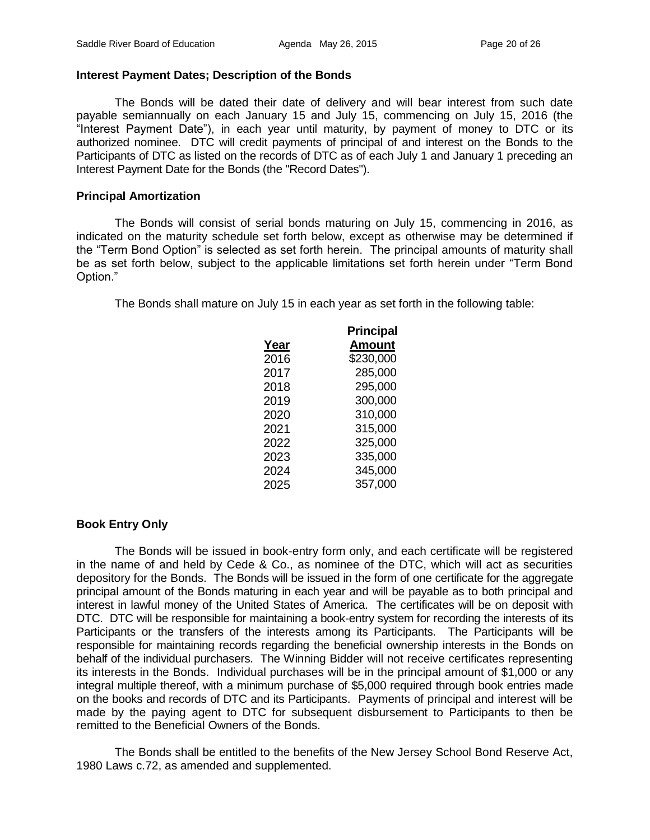# **Interest Payment Dates; Description of the Bonds**

The Bonds will be dated their date of delivery and will bear interest from such date payable semiannually on each January 15 and July 15, commencing on July 15, 2016 (the "Interest Payment Date"), in each year until maturity, by payment of money to DTC or its authorized nominee. DTC will credit payments of principal of and interest on the Bonds to the Participants of DTC as listed on the records of DTC as of each July 1 and January 1 preceding an Interest Payment Date for the Bonds (the "Record Dates").

# **Principal Amortization**

The Bonds will consist of serial bonds maturing on July 15, commencing in 2016, as indicated on the maturity schedule set forth below, except as otherwise may be determined if the "Term Bond Option" is selected as set forth herein. The principal amounts of maturity shall be as set forth below, subject to the applicable limitations set forth herein under "Term Bond Option."

The Bonds shall mature on July 15 in each year as set forth in the following table:

|      | <b>Principal</b> |
|------|------------------|
| Year | <b>Amount</b>    |
| 2016 | \$230,000        |
| 2017 | 285,000          |
| 2018 | 295,000          |
| 2019 | 300,000          |
| 2020 | 310,000          |
| 2021 | 315,000          |
| 2022 | 325,000          |
| 2023 | 335,000          |
| 2024 | 345,000          |
| 2025 | 357,000          |

# **Book Entry Only**

The Bonds will be issued in book-entry form only, and each certificate will be registered in the name of and held by Cede & Co., as nominee of the DTC, which will act as securities depository for the Bonds. The Bonds will be issued in the form of one certificate for the aggregate principal amount of the Bonds maturing in each year and will be payable as to both principal and interest in lawful money of the United States of America. The certificates will be on deposit with DTC. DTC will be responsible for maintaining a book-entry system for recording the interests of its Participants or the transfers of the interests among its Participants. The Participants will be responsible for maintaining records regarding the beneficial ownership interests in the Bonds on behalf of the individual purchasers. The Winning Bidder will not receive certificates representing its interests in the Bonds. Individual purchases will be in the principal amount of \$1,000 or any integral multiple thereof, with a minimum purchase of \$5,000 required through book entries made on the books and records of DTC and its Participants. Payments of principal and interest will be made by the paying agent to DTC for subsequent disbursement to Participants to then be remitted to the Beneficial Owners of the Bonds.

The Bonds shall be entitled to the benefits of the New Jersey School Bond Reserve Act, 1980 Laws c.72, as amended and supplemented.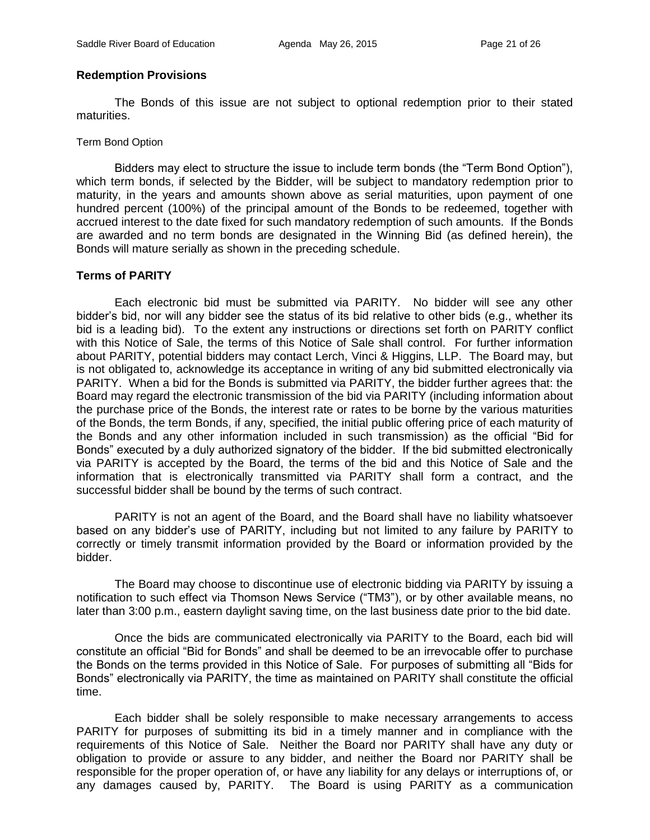#### **Redemption Provisions**

The Bonds of this issue are not subject to optional redemption prior to their stated maturities.

Term Bond Option

Bidders may elect to structure the issue to include term bonds (the "Term Bond Option"), which term bonds, if selected by the Bidder, will be subject to mandatory redemption prior to maturity, in the years and amounts shown above as serial maturities, upon payment of one hundred percent (100%) of the principal amount of the Bonds to be redeemed, together with accrued interest to the date fixed for such mandatory redemption of such amounts. If the Bonds are awarded and no term bonds are designated in the Winning Bid (as defined herein), the Bonds will mature serially as shown in the preceding schedule.

# **Terms of PARITY**

Each electronic bid must be submitted via PARITY. No bidder will see any other bidder's bid, nor will any bidder see the status of its bid relative to other bids (e.g., whether its bid is a leading bid). To the extent any instructions or directions set forth on PARITY conflict with this Notice of Sale, the terms of this Notice of Sale shall control. For further information about PARITY, potential bidders may contact Lerch, Vinci & Higgins, LLP. The Board may, but is not obligated to, acknowledge its acceptance in writing of any bid submitted electronically via PARITY. When a bid for the Bonds is submitted via PARITY, the bidder further agrees that: the Board may regard the electronic transmission of the bid via PARITY (including information about the purchase price of the Bonds, the interest rate or rates to be borne by the various maturities of the Bonds, the term Bonds, if any, specified, the initial public offering price of each maturity of the Bonds and any other information included in such transmission) as the official "Bid for Bonds" executed by a duly authorized signatory of the bidder. If the bid submitted electronically via PARITY is accepted by the Board, the terms of the bid and this Notice of Sale and the information that is electronically transmitted via PARITY shall form a contract, and the successful bidder shall be bound by the terms of such contract.

PARITY is not an agent of the Board, and the Board shall have no liability whatsoever based on any bidder's use of PARITY, including but not limited to any failure by PARITY to correctly or timely transmit information provided by the Board or information provided by the bidder.

The Board may choose to discontinue use of electronic bidding via PARITY by issuing a notification to such effect via Thomson News Service ("TM3"), or by other available means, no later than 3:00 p.m., eastern daylight saving time, on the last business date prior to the bid date.

Once the bids are communicated electronically via PARITY to the Board, each bid will constitute an official "Bid for Bonds" and shall be deemed to be an irrevocable offer to purchase the Bonds on the terms provided in this Notice of Sale. For purposes of submitting all "Bids for Bonds" electronically via PARITY, the time as maintained on PARITY shall constitute the official time.

Each bidder shall be solely responsible to make necessary arrangements to access PARITY for purposes of submitting its bid in a timely manner and in compliance with the requirements of this Notice of Sale. Neither the Board nor PARITY shall have any duty or obligation to provide or assure to any bidder, and neither the Board nor PARITY shall be responsible for the proper operation of, or have any liability for any delays or interruptions of, or any damages caused by, PARITY. The Board is using PARITY as a communication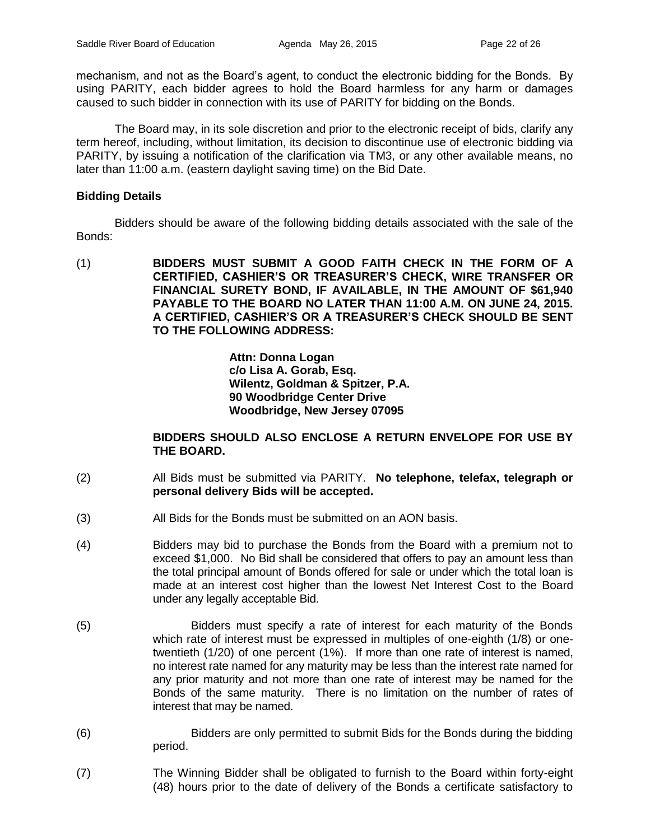mechanism, and not as the Board's agent, to conduct the electronic bidding for the Bonds. By using PARITY, each bidder agrees to hold the Board harmless for any harm or damages caused to such bidder in connection with its use of PARITY for bidding on the Bonds.

The Board may, in its sole discretion and prior to the electronic receipt of bids, clarify any term hereof, including, without limitation, its decision to discontinue use of electronic bidding via PARITY, by issuing a notification of the clarification via TM3, or any other available means, no later than 11:00 a.m. (eastern daylight saving time) on the Bid Date.

# **Bidding Details**

Bidders should be aware of the following bidding details associated with the sale of the Bonds:

(1) **BIDDERS MUST SUBMIT A GOOD FAITH CHECK IN THE FORM OF A CERTIFIED, CASHIER'S OR TREASURER'S CHECK, WIRE TRANSFER OR FINANCIAL SURETY BOND, IF AVAILABLE, IN THE AMOUNT OF \$61,940 PAYABLE TO THE BOARD NO LATER THAN 11:00 A.M. ON JUNE 24, 2015. A CERTIFIED, CASHIER'S OR A TREASURER'S CHECK SHOULD BE SENT TO THE FOLLOWING ADDRESS:**

> **Attn: Donna Logan c/o Lisa A. Gorab, Esq. Wilentz, Goldman & Spitzer, P.A. 90 Woodbridge Center Drive Woodbridge, New Jersey 07095**

# **BIDDERS SHOULD ALSO ENCLOSE A RETURN ENVELOPE FOR USE BY THE BOARD.**

- (2) All Bids must be submitted via PARITY. **No telephone, telefax, telegraph or personal delivery Bids will be accepted.**
- (3) All Bids for the Bonds must be submitted on an AON basis.
- (4) Bidders may bid to purchase the Bonds from the Board with a premium not to exceed \$1,000. No Bid shall be considered that offers to pay an amount less than the total principal amount of Bonds offered for sale or under which the total loan is made at an interest cost higher than the lowest Net Interest Cost to the Board under any legally acceptable Bid.
- (5) Bidders must specify a rate of interest for each maturity of the Bonds which rate of interest must be expressed in multiples of one-eighth (1/8) or onetwentieth (1/20) of one percent (1%). If more than one rate of interest is named, no interest rate named for any maturity may be less than the interest rate named for any prior maturity and not more than one rate of interest may be named for the Bonds of the same maturity. There is no limitation on the number of rates of interest that may be named.
- (6) Bidders are only permitted to submit Bids for the Bonds during the bidding period.
- (7) The Winning Bidder shall be obligated to furnish to the Board within forty-eight (48) hours prior to the date of delivery of the Bonds a certificate satisfactory to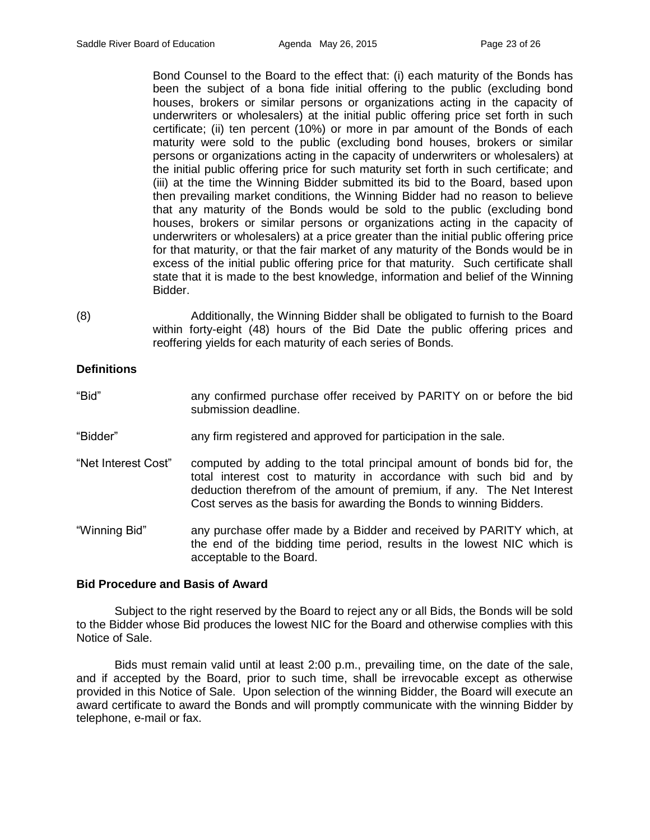Bond Counsel to the Board to the effect that: (i) each maturity of the Bonds has been the subject of a bona fide initial offering to the public (excluding bond houses, brokers or similar persons or organizations acting in the capacity of underwriters or wholesalers) at the initial public offering price set forth in such certificate; (ii) ten percent (10%) or more in par amount of the Bonds of each maturity were sold to the public (excluding bond houses, brokers or similar persons or organizations acting in the capacity of underwriters or wholesalers) at the initial public offering price for such maturity set forth in such certificate; and (iii) at the time the Winning Bidder submitted its bid to the Board, based upon then prevailing market conditions, the Winning Bidder had no reason to believe that any maturity of the Bonds would be sold to the public (excluding bond houses, brokers or similar persons or organizations acting in the capacity of underwriters or wholesalers) at a price greater than the initial public offering price for that maturity, or that the fair market of any maturity of the Bonds would be in excess of the initial public offering price for that maturity. Such certificate shall state that it is made to the best knowledge, information and belief of the Winning Bidder.

(8) Additionally, the Winning Bidder shall be obligated to furnish to the Board within forty-eight (48) hours of the Bid Date the public offering prices and reoffering yields for each maturity of each series of Bonds.

# **Definitions**

- "Bid" any confirmed purchase offer received by PARITY on or before the bid submission deadline.
- "Bidder" any firm registered and approved for participation in the sale.
- "Net Interest Cost" computed by adding to the total principal amount of bonds bid for, the total interest cost to maturity in accordance with such bid and by deduction therefrom of the amount of premium, if any. The Net Interest Cost serves as the basis for awarding the Bonds to winning Bidders.

"Winning Bid" any purchase offer made by a Bidder and received by PARITY which, at the end of the bidding time period, results in the lowest NIC which is acceptable to the Board.

# **Bid Procedure and Basis of Award**

Subject to the right reserved by the Board to reject any or all Bids, the Bonds will be sold to the Bidder whose Bid produces the lowest NIC for the Board and otherwise complies with this Notice of Sale.

Bids must remain valid until at least 2:00 p.m., prevailing time, on the date of the sale, and if accepted by the Board, prior to such time, shall be irrevocable except as otherwise provided in this Notice of Sale. Upon selection of the winning Bidder, the Board will execute an award certificate to award the Bonds and will promptly communicate with the winning Bidder by telephone, e-mail or fax.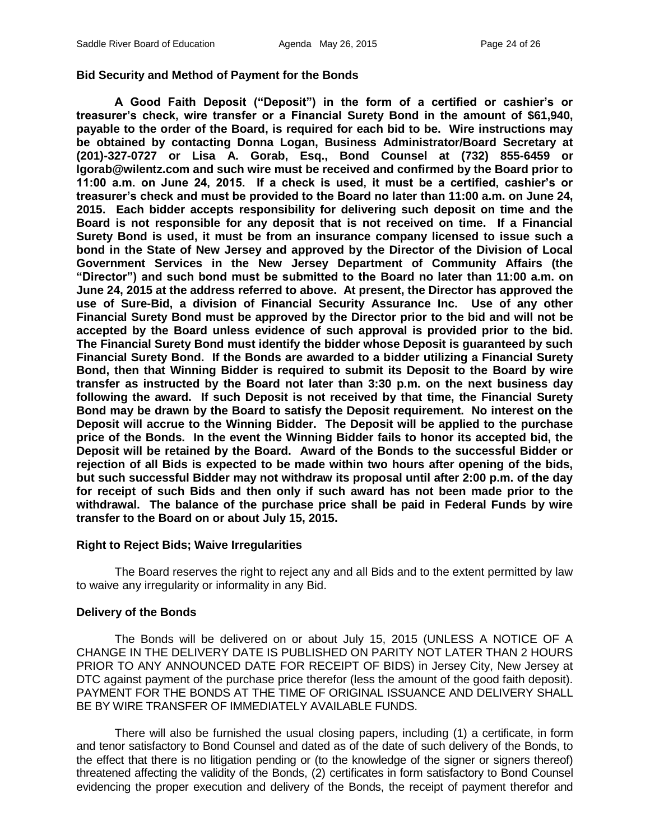#### **Bid Security and Method of Payment for the Bonds**

**A Good Faith Deposit ("Deposit") in the form of a certified or cashier's or treasurer's check, wire transfer or a Financial Surety Bond in the amount of \$61,940, payable to the order of the Board, is required for each bid to be. Wire instructions may be obtained by contacting Donna Logan, Business Administrator/Board Secretary at (201)-327-0727 or Lisa A. Gorab, Esq., Bond Counsel at (732) 855-6459 or lgorab@wilentz.com and such wire must be received and confirmed by the Board prior to 11:00 a.m. on June 24, 2015. If a check is used, it must be a certified, cashier's or treasurer's check and must be provided to the Board no later than 11:00 a.m. on June 24, 2015. Each bidder accepts responsibility for delivering such deposit on time and the Board is not responsible for any deposit that is not received on time. If a Financial Surety Bond is used, it must be from an insurance company licensed to issue such a bond in the State of New Jersey and approved by the Director of the Division of Local Government Services in the New Jersey Department of Community Affairs (the "Director") and such bond must be submitted to the Board no later than 11:00 a.m. on June 24, 2015 at the address referred to above. At present, the Director has approved the use of Sure-Bid, a division of Financial Security Assurance Inc. Use of any other Financial Surety Bond must be approved by the Director prior to the bid and will not be accepted by the Board unless evidence of such approval is provided prior to the bid. The Financial Surety Bond must identify the bidder whose Deposit is guaranteed by such Financial Surety Bond. If the Bonds are awarded to a bidder utilizing a Financial Surety Bond, then that Winning Bidder is required to submit its Deposit to the Board by wire transfer as instructed by the Board not later than 3:30 p.m. on the next business day following the award. If such Deposit is not received by that time, the Financial Surety Bond may be drawn by the Board to satisfy the Deposit requirement. No interest on the Deposit will accrue to the Winning Bidder. The Deposit will be applied to the purchase price of the Bonds. In the event the Winning Bidder fails to honor its accepted bid, the Deposit will be retained by the Board. Award of the Bonds to the successful Bidder or rejection of all Bids is expected to be made within two hours after opening of the bids, but such successful Bidder may not withdraw its proposal until after 2:00 p.m. of the day for receipt of such Bids and then only if such award has not been made prior to the withdrawal. The balance of the purchase price shall be paid in Federal Funds by wire transfer to the Board on or about July 15, 2015.**

#### **Right to Reject Bids; Waive Irregularities**

The Board reserves the right to reject any and all Bids and to the extent permitted by law to waive any irregularity or informality in any Bid.

#### **Delivery of the Bonds**

The Bonds will be delivered on or about July 15, 2015 (UNLESS A NOTICE OF A CHANGE IN THE DELIVERY DATE IS PUBLISHED ON PARITY NOT LATER THAN 2 HOURS PRIOR TO ANY ANNOUNCED DATE FOR RECEIPT OF BIDS) in Jersey City, New Jersey at DTC against payment of the purchase price therefor (less the amount of the good faith deposit). PAYMENT FOR THE BONDS AT THE TIME OF ORIGINAL ISSUANCE AND DELIVERY SHALL BE BY WIRE TRANSFER OF IMMEDIATELY AVAILABLE FUNDS.

There will also be furnished the usual closing papers, including (1) a certificate, in form and tenor satisfactory to Bond Counsel and dated as of the date of such delivery of the Bonds, to the effect that there is no litigation pending or (to the knowledge of the signer or signers thereof) threatened affecting the validity of the Bonds, (2) certificates in form satisfactory to Bond Counsel evidencing the proper execution and delivery of the Bonds, the receipt of payment therefor and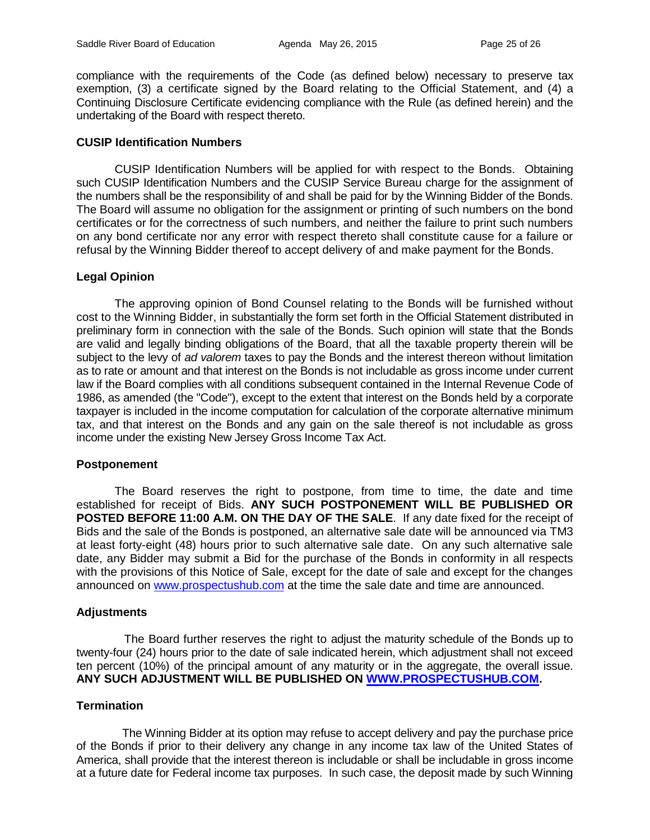compliance with the requirements of the Code (as defined below) necessary to preserve tax exemption, (3) a certificate signed by the Board relating to the Official Statement, and (4) a Continuing Disclosure Certificate evidencing compliance with the Rule (as defined herein) and the undertaking of the Board with respect thereto.

#### **CUSIP Identification Numbers**

CUSIP Identification Numbers will be applied for with respect to the Bonds. Obtaining such CUSIP Identification Numbers and the CUSIP Service Bureau charge for the assignment of the numbers shall be the responsibility of and shall be paid for by the Winning Bidder of the Bonds. The Board will assume no obligation for the assignment or printing of such numbers on the bond certificates or for the correctness of such numbers, and neither the failure to print such numbers on any bond certificate nor any error with respect thereto shall constitute cause for a failure or refusal by the Winning Bidder thereof to accept delivery of and make payment for the Bonds.

#### **Legal Opinion**

The approving opinion of Bond Counsel relating to the Bonds will be furnished without cost to the Winning Bidder, in substantially the form set forth in the Official Statement distributed in preliminary form in connection with the sale of the Bonds. Such opinion will state that the Bonds are valid and legally binding obligations of the Board, that all the taxable property therein will be subject to the levy of *ad valorem* taxes to pay the Bonds and the interest thereon without limitation as to rate or amount and that interest on the Bonds is not includable as gross income under current law if the Board complies with all conditions subsequent contained in the Internal Revenue Code of 1986, as amended (the "Code"), except to the extent that interest on the Bonds held by a corporate taxpayer is included in the income computation for calculation of the corporate alternative minimum tax, and that interest on the Bonds and any gain on the sale thereof is not includable as gross income under the existing New Jersey Gross Income Tax Act.

#### **Postponement**

The Board reserves the right to postpone, from time to time, the date and time established for receipt of Bids. **ANY SUCH POSTPONEMENT WILL BE PUBLISHED OR POSTED BEFORE 11:00 A.M. ON THE DAY OF THE SALE**. If any date fixed for the receipt of Bids and the sale of the Bonds is postponed, an alternative sale date will be announced via TM3 at least forty-eight (48) hours prior to such alternative sale date. On any such alternative sale date, any Bidder may submit a Bid for the purchase of the Bonds in conformity in all respects with the provisions of this Notice of Sale, except for the date of sale and except for the changes announced on [www.prospectushub.com](http://www.prospectushub.com/) at the time the sale date and time are announced.

# **Adjustments**

The Board further reserves the right to adjust the maturity schedule of the Bonds up to twenty-four (24) hours prior to the date of sale indicated herein, which adjustment shall not exceed ten percent (10%) of the principal amount of any maturity or in the aggregate, the overall issue. **ANY SUCH ADJUSTMENT WILL BE PUBLISHED ON [WWW.PROSPECTUSHUB.COM.](http://www.prospectushub.com/)**

# **Termination**

The Winning Bidder at its option may refuse to accept delivery and pay the purchase price of the Bonds if prior to their delivery any change in any income tax law of the United States of America, shall provide that the interest thereon is includable or shall be includable in gross income at a future date for Federal income tax purposes. In such case, the deposit made by such Winning